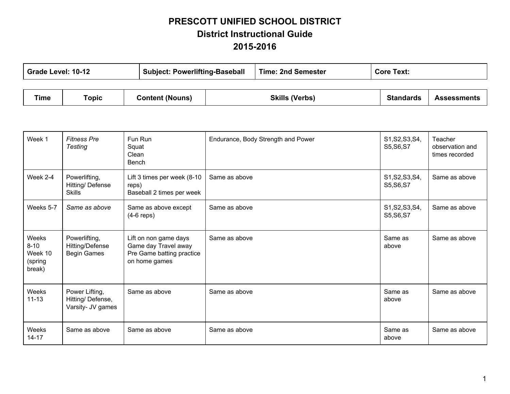## **PRESCOTT UNIFIED SCHOOL DISTRICT District Instructional Guide 20152016**

|      | <b>Subject: Powerlifting-Baseball</b><br><b>Time: 2nd Semester</b><br>Grade Level: 10-12<br><b>Core Text:</b> |                        |                       |                  |                    |
|------|---------------------------------------------------------------------------------------------------------------|------------------------|-----------------------|------------------|--------------------|
|      |                                                                                                               |                        |                       |                  |                    |
| Time | Topic                                                                                                         | <b>Content (Nouns)</b> | <b>Skills (Verbs)</b> | <b>Standards</b> | <b>Assessments</b> |

т

- F

| Week 1                                                                        | <b>Fitness Pre</b><br><b>Testing</b>                   | Fun Run<br>Squat<br>Clean<br>Bench                                                          | Endurance, Body Strength and Power | S1, S2, S3, S4,<br>S5, S6, S7 | Teacher<br>observation and<br>times recorded |
|-------------------------------------------------------------------------------|--------------------------------------------------------|---------------------------------------------------------------------------------------------|------------------------------------|-------------------------------|----------------------------------------------|
| Week 2-4                                                                      | Powerlifting,<br>Hitting/Defense<br><b>Skills</b>      | Lift 3 times per week (8-10<br>reps)<br>Baseball 2 times per week                           | Same as above                      | S1, S2, S3, S4,<br>S5, S6, S7 | Same as above                                |
| Weeks 5-7                                                                     | Same as above                                          | Same as above except<br>$(4-6$ reps)                                                        | Same as above                      | S1, S2, S3, S4,<br>S5, S6, S7 | Same as above                                |
| Weeks<br>$8 - 10$<br>Week 10<br>(spring<br>break)                             | Powerlifting,<br>Hitting/Defense<br><b>Begin Games</b> | Lift on non game days<br>Game day Travel away<br>Pre Game batting practice<br>on home games | Same as above                      | Same as<br>above              | Same as above                                |
| Weeks<br>Power Lifting,<br>$11 - 13$<br>Hitting/Defense,<br>Varsity- JV games |                                                        | Same as above                                                                               | Same as above                      | Same as<br>above              | Same as above                                |
| Weeks<br>$14 - 17$                                                            | Same as above                                          | Same as above                                                                               | Same as above                      | Same as<br>above              | Same as above                                |